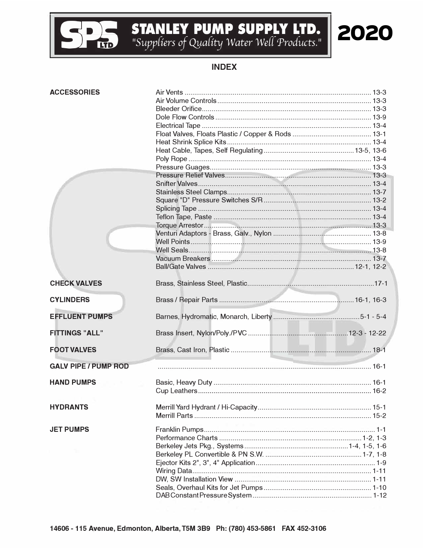

**STANLEY PUMP SUPPLY LTD.**<br>"Suppliers of Quality Water Well Products."

## 2020

## **INDEX**

| <b>ACCESSORIES</b>          |  |
|-----------------------------|--|
|                             |  |
|                             |  |
|                             |  |
|                             |  |
|                             |  |
|                             |  |
|                             |  |
|                             |  |
|                             |  |
|                             |  |
|                             |  |
|                             |  |
|                             |  |
|                             |  |
|                             |  |
|                             |  |
|                             |  |
|                             |  |
|                             |  |
|                             |  |
|                             |  |
| <b>CHECK VALVES</b>         |  |
| <b>CYLINDERS</b>            |  |
| <b>EFFLUENT PUMPS</b>       |  |
| <b>FITTINGS "ALL"</b>       |  |
| <b>FOOT VALVES</b>          |  |
| <b>GALV PIPE / PUMP ROD</b> |  |
| <b>HAND PUMPS</b>           |  |
| <b>HYDRANTS</b>             |  |
| <b>JET PUMPS</b>            |  |
|                             |  |
|                             |  |
|                             |  |
|                             |  |
|                             |  |
|                             |  |
|                             |  |
|                             |  |